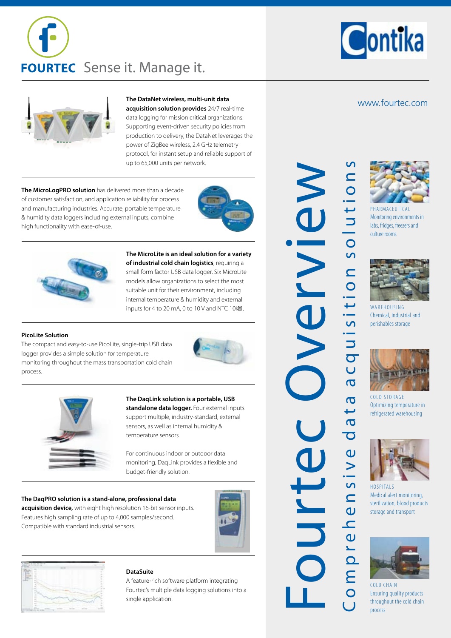





### **The DataNet wireless, multi-unit data**

**acquisition solution provides** 24/7 real-time data logging for mission critical organizations. Supporting event-driven security policies from production to delivery, the DataNet leverages the power of ZigBee wireless, 2.4 GHz telemetry protocol, for instant setup and reliable support of up to 65,000 units per network.

**The MicroLogPRO solution** has delivered more than a decade of customer satisfaction, and application reliability for process and manufacturing industries. Accurate, portable temperature & humidity data loggers including external inputs, combine high functionality with ease-of-use.





**The MicroLite is an ideal solution for a variety of industrial cold chain logistics**, requiring a small form factor USB data logger. Six MicroLite models allow organizations to select the most suitable unit for their environment, including internal temperature & humidity and external inputs for 4 to 20 mA, 0 to 10 V and NTC 10 $k\mathbb{Z}$ .

### **PicoLite Solution**

The compact and easy-to-use PicoLite, single-trip USB data logger provides a simple solution for temperature monitoring throughout the mass transportation cold chain process.





# **The DaqLink solution is a portable, USB standalone data logger.** Four external inputs

support multiple, industry-standard, external sensors, as well as internal humidity & temperature sensors.

For continuous indoor or outdoor data monitoring, DaqLink provides a flexible and budget-friendly solution.

### **The DaqPRO solution is a stand-alone, professional data**

**acquisition device,** with eight high resolution 16-bit sensor inputs. Features high sampling rate of up to 4,000 samples/second. Compatible with standard industrial sensors.





### **DataSuite**

A feature-rich software platform integrating Fourtec's multiple data logging solutions into a single application.

C o m p r e h e n s i v e d a t a a c q u i s i t i o n s o l u t i o n s FourteC Overvisition solutions quisition solution NAND  $\overline{U}$  $\overline{\sigma}$  $\overline{\sigma}$ ى  $\sigma$  $\overline{\mathbf{C}}$ Urte ensive  $\overline{\mathsf{C}}$ ompre

www.fourtec.com



**PHARMACEUTICAL** Monitoring environments in labs, fridges, freezers and culture rooms



WA R E HOUSING Chemical, industrial and perishables storage



COLD STORAGE Optimizing temperature in refrigerated warehousing



**HOSPITALS** Medical alert monitoring, sterilization, blood products storage and transport



COLD CHAIN Ensuring quality products throughout the cold chain process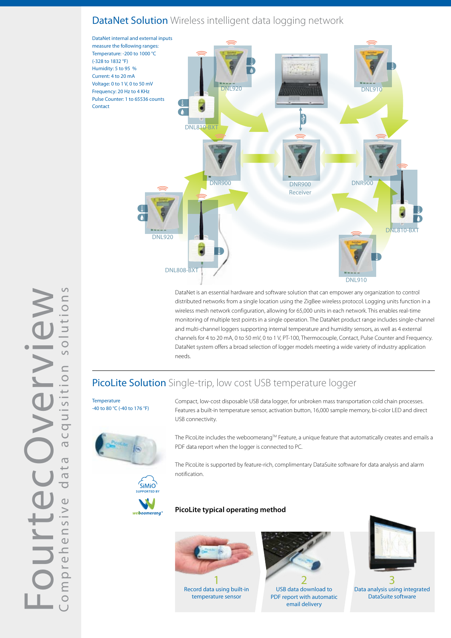# DataNet Solution Wireless intelligent data logging network



DataNet is an essential hardware and software solution that can empower any organization to control distributed networks from a single location using the ZigBee wireless protocol. Logging units function in a wireless mesh network configuration, allowing for 65,000 units in each network. This enables real-time monitoring of multiple test points in a single operation. The DataNet product range includes single-channel and multi-channel loggers supporting internal temperature and humidity sensors, as well as 4 external channels for 4 to 20 mA, 0 to 50 mV, 0 to 1 V, PT-100, Thermocouple, Contact, Pulse Counter and Frequency. DataNet system offers a broad selection of logger models meeting a wide variety of industry application needs.

# PicoLite Solution Single-trip, low cost USB temperature logger

**Temperature** -40 to 80 °C (-40 to 176 °F)



**SUPPORTED BY**

weboomerand

SiMiO

Features a built-in temperature sensor, activation button, 16,000 sample memory, bi-color LED and direct USB connectivity.

Compact, low-cost disposable USB data logger, for unbroken mass transportation cold chain processes.

The PicoLite includes the weboomerang™ Feature, a unique feature that automatically creates and emails a PDF data report when the logger is connected to PC.

The PicoLite is supported by feature-rich, complimentary DataSuite software for data analysis and alarm notification.

## **PicoLite typical operating method**



1 Record data using built-in temperature sensor



2 USB data download to PDF report with automatic email delivery



3 Data analysis using integrated DataSuite software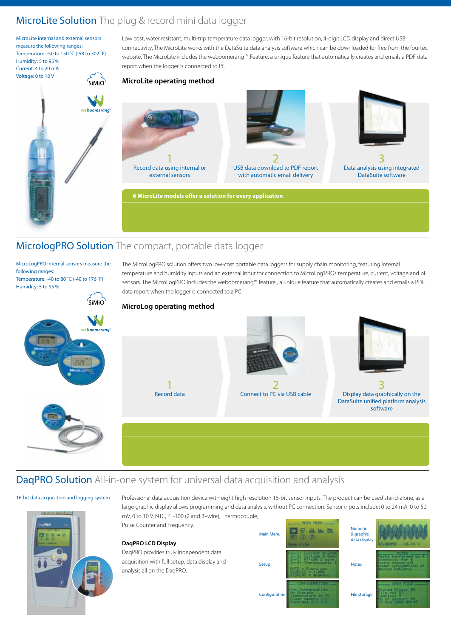# MicroLite Solution The plug & record mini data logger

MicroLite internal and external sensors measure the following ranges: Temperature: -50 to 150 ˚C (-58 to 302 ˚F) Humidity: 5 to 95 % Current: 4 to 20 mA Voltage: 0 to 10 V

Low cost, water resistant, multi-trip temperature data logger, with 16-bit resolution, 4-digit LCD display and direct USB connectivity. The MicroLite works with the DataSuite data analysis software which can be downloaded for free from the fourtec website. The MicroLite includes the weboomerang™ Feature, a unique feature that automatically creates and emails a PDF data report when the logger is connected to PC.

# **MicroLite operating method**  $\zeta$ <sub>Mio</sub>



**6 MicroLite models offer a solution for every application**

# MicrologPRO Solution The compact, portable data logger

MicroLogPRO internal sensors measure the following ranges: Temperature: -40 to 80 ˚C (-40 to 176 ˚F)

Humidity: 5 to 95 %

SIMIO

The MicroLogPRO solution offers two low-cost portable data loggers for supply chain monitoring, featuring internal temperature and humidity inputs and an external input for connection to MicroLog'PROs temperature, current, voltage and pH sensors. The MicroLogPRO includes the weboomerang™ feature , a unique feature that automatically creates and emails a PDF data report when the logger is connected to a PC.



**MicroLog operating method**







3 Data analysis using integrated DataSuite software

3 Display data graphically on the DataSuite unified platform analysis software



# 1 Record data





### 16-bit data acquisition and logging system



Professional data acquisition device with eight high resolution 16-bit sensor inputs. The product can be used stand-alone, as a large graphic display allows programming and data analysis, without PC connection. Sensor inputs include: 0 to 24 mA, 0 to 50 mV, 0 to 10 V, NTC, PT-100 (2 and 3–wire), Thermocouple,

Pulse Counter and Frequency.

### **DaqPRO LCD Display**

DaqPRO provides truly independent data acquisition with full setup, data display and analysis all on the DaqPRO.



| ic<br>hic<br>splay |  |
|--------------------|--|
|                    |  |
| rage               |  |